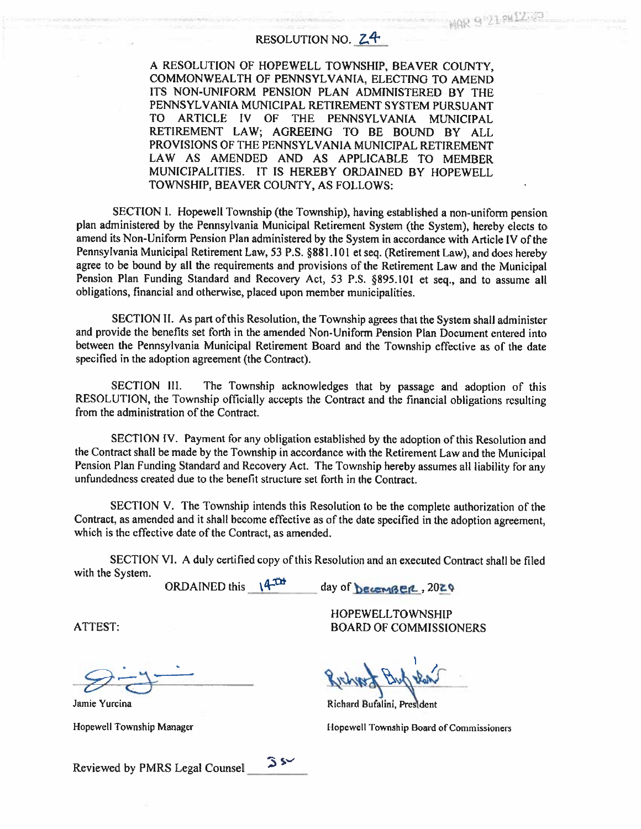#### RESOLUTION NO. Z<sup>4</sup>

WAR 9"21 PM12.23

A RESOLUTION OF HOPEWELL TOWNSHIP, BEAVER COUNTY, COMMONWEALTH OF PENNSYLVANIA, ELECTING TO AMEND ITS NON-UNIFORM PENSION PLAN ADMINISTERED BY THE PENNSYLVANIA MUNICIPAL RETIREMENT SYSTEM PURSUANT TO ARTICLE IV OF THE PENNSYLVANIA MUNICIPAL RETIREMENT LAW; AGREEING TO BE BOUND BY ALL PROVISIONS OF THE PENNSYLVANIA MUNICIPAL RETIREMENT LAW AS AMENDED AND AS APPLICABLE TO MEMBER MUNICIPALITIES. IT IS HEREBY ORDAINED BY HOPEWELL TOWNSHIP, BEAVER COUNTY, AS FOLLOWS:

SECTION I. Hopewell Township (the Township), having established a non-uniform pension plan administered by the Pennsylvania Municipal Retirement System (the System), hereby elects to amend its Non-Uniform Pension Plan administered by the System in accordance with Article IV of the Pennsylvania Municipal Retirement Law, 53 P.S. §881.101 et seq. (Retirement Law), and does hereby agree to be bound by all the requirements and provisions of the Retirement Law and the Municipal Pension Plan Funding Standard and Recovery Act, 53 P.S. §895.101 et seq., and to assume all obligations, financial and otherwise, placed upon member municipalities.

SECTION II. As part of this Resolution, the Township agrees that the System shall administer and provide the benefits set forth in the amended Non-Uniform Pension Plan Document entered into between the Pennsylvania Municipal Retirement Board and the Township effective as of the date specified in the adoption agreement (the Contract).

SECTION III. The Township acknowledges that by passage and adoption of this RESOLUTION, the Township officially accepts the Contract and the financial obligations resulting from the administration of the Contract.

SECTION IV. Payment for any obligation established by the adoption of this Resolution and the Contract shall be made by the Township in accordance with the Retirement Law and the Municipal Pension Plan Funding Standard and Recovery Act. The Township hereby assumes all liability for any unfundedness created due to the benefit structure set forth in the Contract.

SECTION V. The Township intends this Resolution to be the complete authorization of the Contract, as amended and it shall become effective as of the date specified in the adoption agreement, which is the effective date of the Contract, as amended.

SECTION VI. A duly certified copy of this Resolution and an executed Contract shall be filed with the System.

ORDAINED this  $\sqrt{4.24}$ day of **becomment**, 2020

 $5s$ 

ATTEST:

**HOPEWELLTOWNSHIP BOARD OF COMMISSIONERS** 

Jamie Yurcina

Hopewell Township Manager

Reviewed by PMRS Legal Counsel

Richard Bufalini, President

Hopewell Township Board of Commissioners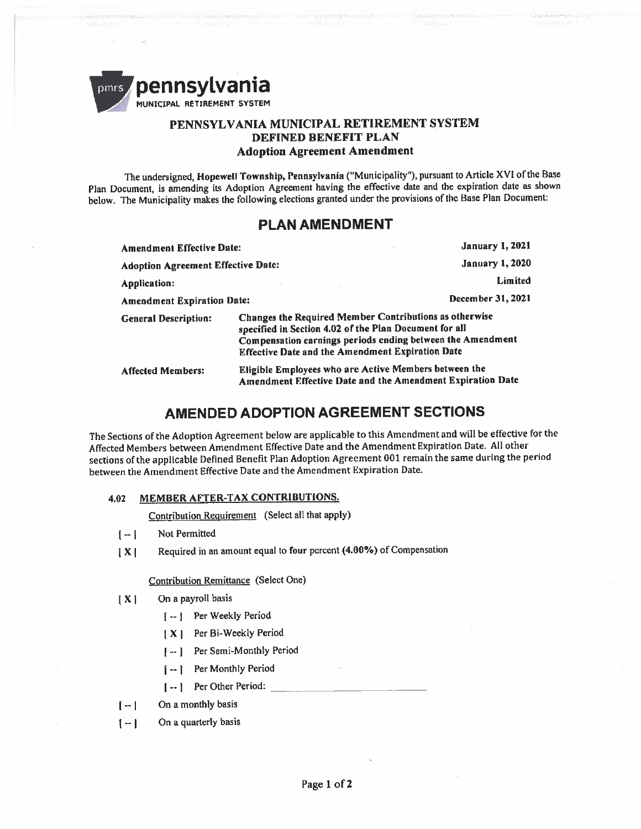

### PENNSYLVANIA MUNICIPAL RETIREMENT SYSTEM DEFINED BENEFIT PLAN **Adoption Agreement Amendment**

The undersigned, Hopewell Township, Pennsylvania ("Municipality"), pursuant to Article XVI of the Base Plan Document, is amending its Adoption Agreement having the effective date and the expiration date as shown below. The Municipality makes the following elections granted under the provisions of the Base Plan Document:

# **PLAN AMENDMENT**

| <b>Amendment Effective Date:</b>          |                                                                                                                                                                                                                                           | <b>January 1, 2021</b>                                                                                              |  |
|-------------------------------------------|-------------------------------------------------------------------------------------------------------------------------------------------------------------------------------------------------------------------------------------------|---------------------------------------------------------------------------------------------------------------------|--|
| <b>Adoption Agreement Effective Date:</b> |                                                                                                                                                                                                                                           | <b>January 1, 2020</b>                                                                                              |  |
| Application:                              |                                                                                                                                                                                                                                           | Limited                                                                                                             |  |
| <b>Amendment Expiration Date:</b>         |                                                                                                                                                                                                                                           | December 31, 2021                                                                                                   |  |
| <b>General Description:</b>               | Changes the Required Member Contributions as otherwise<br>specified in Section 4.02 of the Plan Document for all<br>Compensation earnings periods ending between the Amendment<br><b>Effective Date and the Amendment Expiration Date</b> |                                                                                                                     |  |
| <b>Affected Members:</b>                  |                                                                                                                                                                                                                                           | Eligible Employees who are Active Members between the<br>Amendment Effective Date and the Amendment Expiration Date |  |

# **AMENDED ADOPTION AGREEMENT SECTIONS**

The Sections of the Adoption Agreement below are applicable to this Amendment and will be effective for the Affected Members between Amendment Effective Date and the Amendment Expiration Date. All other sections of the applicable Defined Benefit Plan Adoption Agreement 001 remain the same during the period between the Amendment Effective Date and the Amendment Expiration Date.

#### 4.02 **MEMBER AFTER-TAX CONTRIBUTIONS.**

Contribution Requirement (Select all that apply)

- $[-]$ Not Permitted
- Required in an amount equal to four percent (4.00%) of Compensation  $|X|$

#### Contribution Remittance (Select One)

- On a payroll basis  $[X]$ 
	- [--] Per Weekly Period
	- [X] Per Bi-Weekly Period
	- [ -- ] Per Semi-Monthly Period
	- [--] Per Monthly Period
	- [ -- ] Per Other Period:
- On a monthly basis  $[-1]$
- On a quarterly basis  $[-]$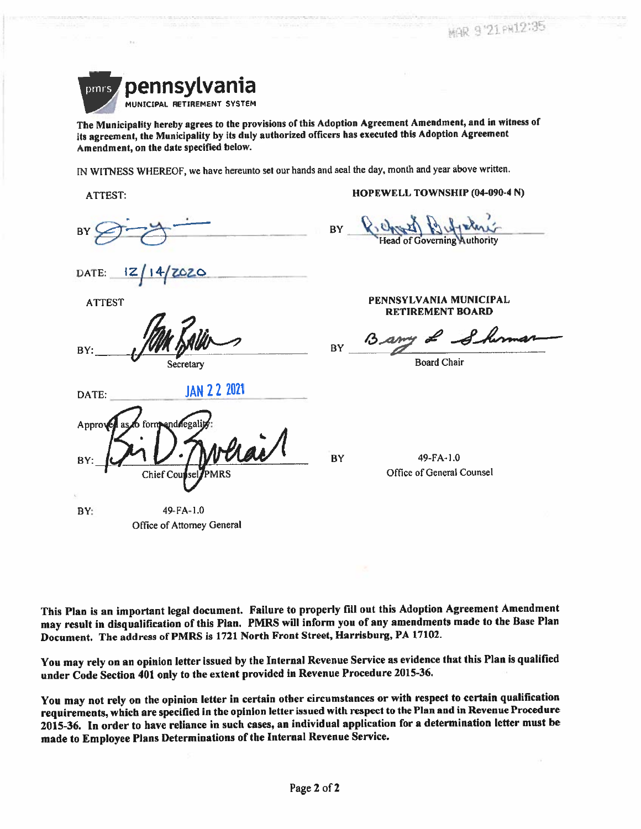

The Municipality hereby agrees to the provisions of this Adoption Agreement Amendment, and in witness of its agreement, the Municipality by its duly authorized officers has executed this Adoption Agreement Amendment, on the date specified below.

IN WITNESS WHEREOF, we have hereunto set our hands and seal the day, month and year above written.

**ATTEST:** 

HOPEWELL TOWNSHIP (04-090-4 N)

**BY** DATE: PENNSYLVANIA MUNICIPAL **ATTEST RETIREMENT BOARD** BY **Board Chair** Secretary **JAN 22 2021** DATE: form**and** deal Approv  $49-FA-1.0$ BY Office of General Counsel Chief Cou BY: 49-FA-1.0 Office of Attorney General

This Plan is an important legal document. Failure to properly fill out this Adoption Agreement Amendment may result in disqualification of this Plan. PMRS will inform you of any amendments made to the Base Plan Document. The address of PMRS is 1721 North Front Street, Harrisburg, PA 17102.

You may rely on an opinion letter issued by the Internal Revenue Service as evidence that this Plan is qualified under Code Section 401 only to the extent provided in Revenue Procedure 2015-36.

You may not rely on the opinion letter in certain other circumstances or with respect to certain qualification requirements, which are specified in the opinion letter issued with respect to the Plan and in Revenue Procedure 2015-36. In order to have reliance in such cases, an individual application for a determination letter must be made to Employee Plans Determinations of the Internal Revenue Service.